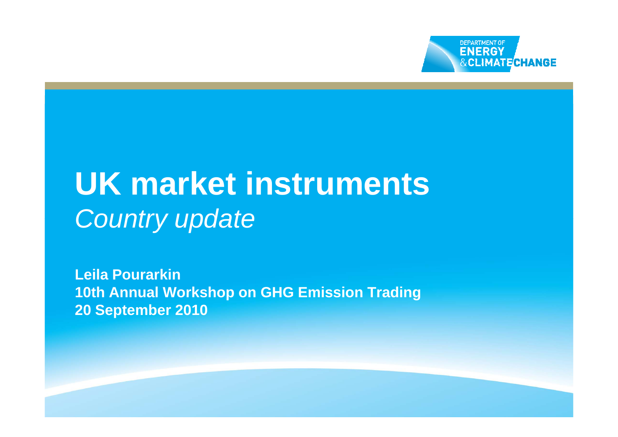

# **UK market instruments** Country update

**Leila Pourarkin10th Annual Workshop on GHG Emission Trading 20 September 2010**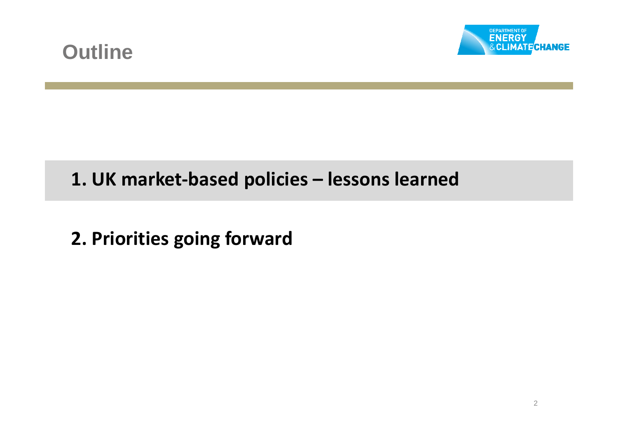



## **1. UK market-based policies – lessons learned**

**2. Priorities going forward**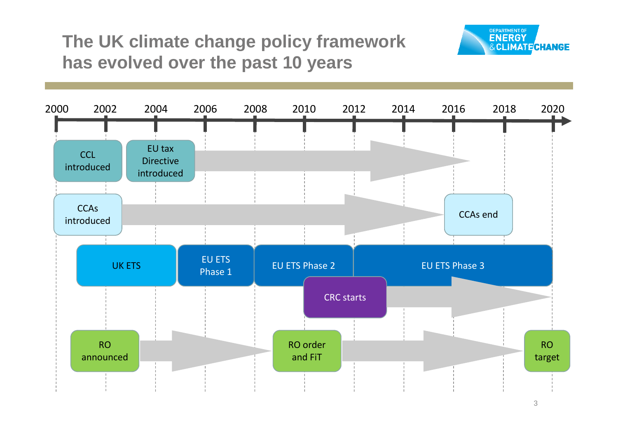## **The UK climate change policy framework has evolved over the past 10 years**



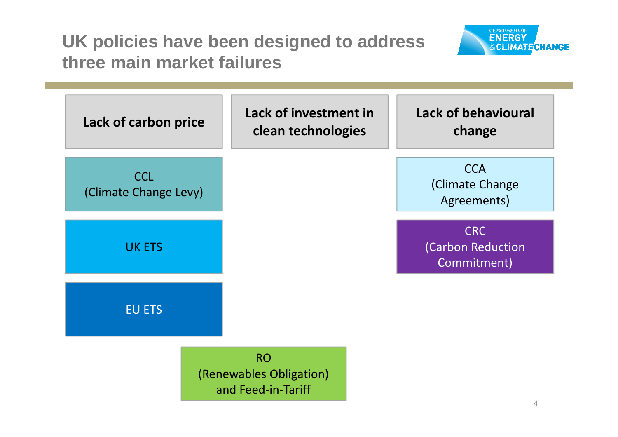**UK policies have been designed to address three main market failures**



| Lack of carbon price                | <b>Lack of investment in</b><br>clean technologies         | <b>Lack of behavioural</b><br>change           |
|-------------------------------------|------------------------------------------------------------|------------------------------------------------|
| <b>CCL</b><br>(Climate Change Levy) |                                                            | <b>CCA</b><br>(Climate Change<br>Agreements)   |
| <b>UK ETS</b>                       |                                                            | <b>CRC</b><br>(Carbon Reduction<br>Commitment) |
| <b>EU ETS</b>                       |                                                            |                                                |
|                                     | <b>RO</b><br>(Renewables Obligation)<br>and Feed-in-Tariff |                                                |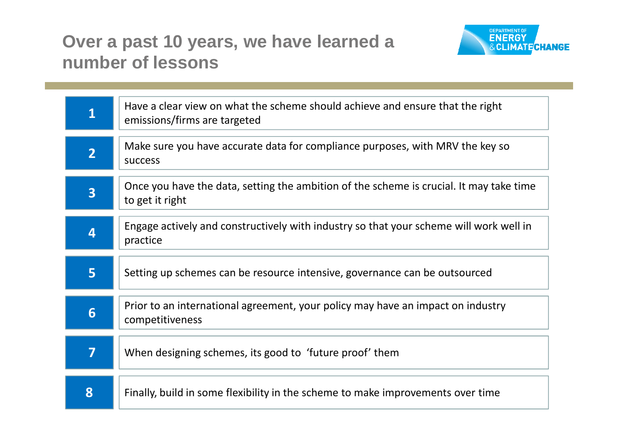#### **Over a past 10 years, we have learned a number of lessons**



| $\overline{\mathbf{1}}$ | Have a clear view on what the scheme should achieve and ensure that the right<br>emissions/firms are targeted |
|-------------------------|---------------------------------------------------------------------------------------------------------------|
| $\overline{2}$          | Make sure you have accurate data for compliance purposes, with MRV the key so<br><b>SUCCESS</b>               |
| $\overline{\mathbf{3}}$ | Once you have the data, setting the ambition of the scheme is crucial. It may take time<br>to get it right    |
| 4                       | Engage actively and constructively with industry so that your scheme will work well in<br>practice            |
| 5                       | Setting up schemes can be resource intensive, governance can be outsourced                                    |
| 6                       | Prior to an international agreement, your policy may have an impact on industry<br>competitiveness            |
| $\overline{\mathbf{7}}$ | When designing schemes, its good to 'future proof' them                                                       |
| 8                       | Finally, build in some flexibility in the scheme to make improvements over time                               |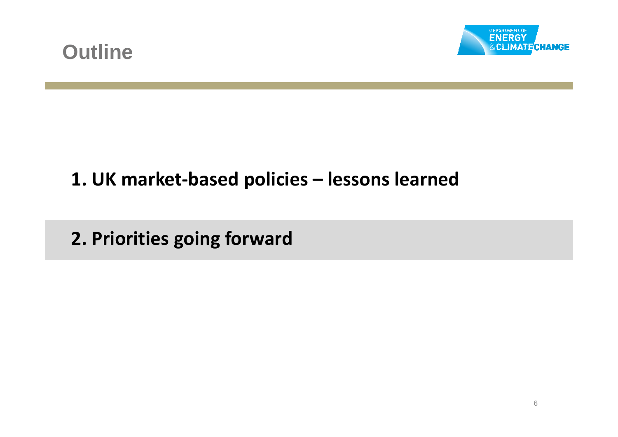



# **1. UK market-based policies – lessons learned**

**2. Priorities going forward**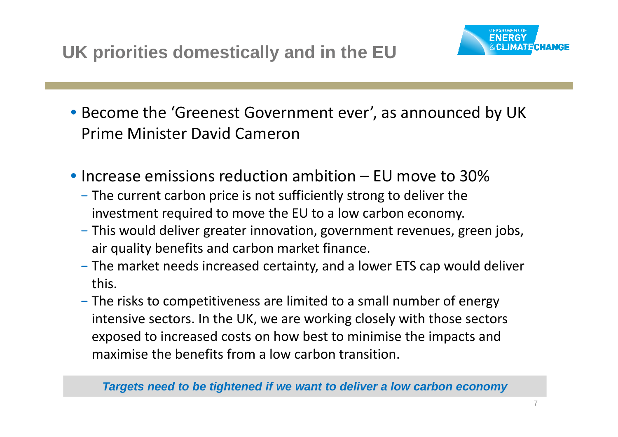**UK priorities domestically and in the EU**



- Become the 'Greenest Government ever', as announced by UK Prime Minister David Cameron
- Increase emissions reduction ambition EU move to 30%
	- − The current carbon price is not sufficiently strong to deliver the investment required to move the EU to a low carbon economy.
	- − This would deliver greater innovation, government revenues, green jobs, air quality benefits and carbon market finance.
	- − The market needs increased certainty, and a lower ETS cap would deliver this.
	- − The risks to competitiveness are limited to a small number of energy intensive sectors. In the UK, we are working closely with those sectors exposed to increased costs on how best to minimise the impacts and maximise the benefits from a low carbon transition.

**Targets need to be tightened if we want to deliver a low carbon economy**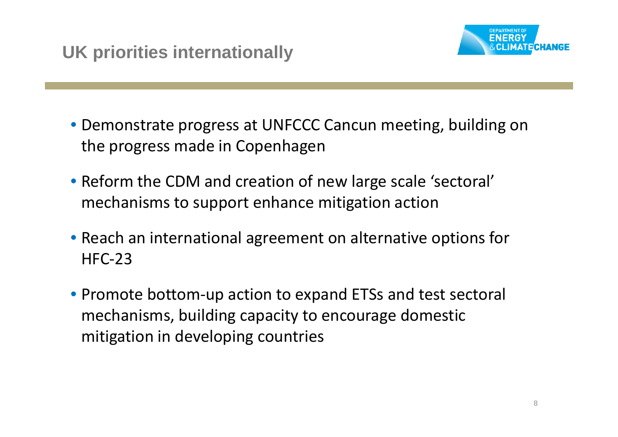

- Demonstrate progress at UNFCCC Cancun meeting, building on the progress made in Copenhagen
- Reform the CDM and creation of new large scale 'sectoral' mechanisms to support enhance mitigation action
- Reach an international agreement on alternative options for HFC-23
- Promote bottom-up action to expand ETSs and test sectoral mechanisms, building capacity to encourage domestic mitigation in developing countries